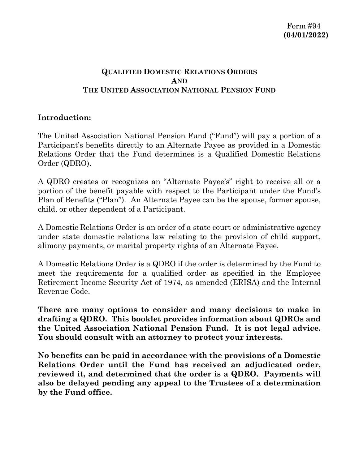# **QUALIFIED DOMESTIC RELATIONS ORDERS AND THE UNITED ASSOCIATION NATIONAL PENSION FUND**

## **Introduction:**

The United Association National Pension Fund ("Fund") will pay a portion of a Participant's benefits directly to an Alternate Payee as provided in a Domestic Relations Order that the Fund determines is a Qualified Domestic Relations Order (QDRO).

A QDRO creates or recognizes an "Alternate Payee's" right to receive all or a portion of the benefit payable with respect to the Participant under the Fund's Plan of Benefits ("Plan"). An Alternate Payee can be the spouse, former spouse, child, or other dependent of a Participant.

A Domestic Relations Order is an order of a state court or administrative agency under state domestic relations law relating to the provision of child support, alimony payments, or marital property rights of an Alternate Payee.

A Domestic Relations Order is a QDRO if the order is determined by the Fund to meet the requirements for a qualified order as specified in the Employee Retirement Income Security Act of 1974, as amended (ERISA) and the Internal Revenue Code.

**There are many options to consider and many decisions to make in drafting a QDRO. This booklet provides information about QDROs and the United Association National Pension Fund. It is not legal advice. You should consult with an attorney to protect your interests.** 

**No benefits can be paid in accordance with the provisions of a Domestic Relations Order until the Fund has received an adjudicated order, reviewed it, and determined that the order is a QDRO. Payments will also be delayed pending any appeal to the Trustees of a determination by the Fund office.**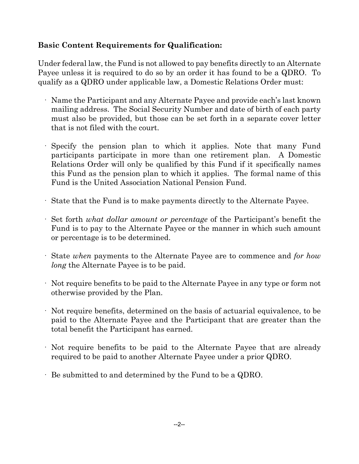# **Basic Content Requirements for Qualification:**

Under federal law, the Fund is not allowed to pay benefits directly to an Alternate Payee unless it is required to do so by an order it has found to be a QDRO. To qualify as a QDRO under applicable law, a Domestic Relations Order must:

- · Name the Participant and any Alternate Payee and provide each's last known mailing address. The Social Security Number and date of birth of each party must also be provided, but those can be set forth in a separate cover letter that is not filed with the court.
- Specify the pension plan to which it applies. Note that many Fund participants participate in more than one retirement plan. A Domestic Relations Order will only be qualified by this Fund if it specifically names this Fund as the pension plan to which it applies. The formal name of this Fund is the United Association National Pension Fund.
- · State that the Fund is to make payments directly to the Alternate Payee.
- · Set forth *what dollar amount or percentage* of the Participant's benefit the Fund is to pay to the Alternate Payee or the manner in which such amount or percentage is to be determined.
- · State *when* payments to the Alternate Payee are to commence and *for how long* the Alternate Payee is to be paid.
- · Not require benefits to be paid to the Alternate Payee in any type or form not otherwise provided by the Plan.
- · Not require benefits, determined on the basis of actuarial equivalence, to be paid to the Alternate Payee and the Participant that are greater than the total benefit the Participant has earned.
- · Not require benefits to be paid to the Alternate Payee that are already required to be paid to another Alternate Payee under a prior QDRO.
- · Be submitted to and determined by the Fund to be a QDRO.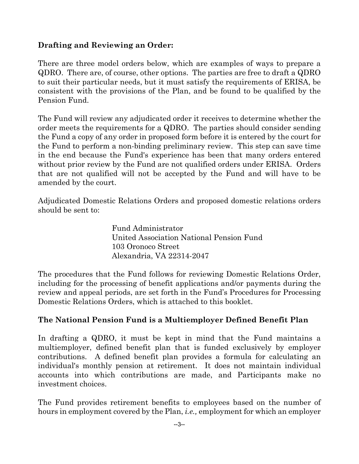# **Drafting and Reviewing an Order:**

There are three model orders below, which are examples of ways to prepare a QDRO. There are, of course, other options. The parties are free to draft a QDRO to suit their particular needs, but it must satisfy the requirements of ERISA, be consistent with the provisions of the Plan, and be found to be qualified by the Pension Fund.

The Fund will review any adjudicated order it receives to determine whether the order meets the requirements for a QDRO. The parties should consider sending the Fund a copy of any order in proposed form before it is entered by the court for the Fund to perform a non-binding preliminary review. This step can save time in the end because the Fund's experience has been that many orders entered without prior review by the Fund are not qualified orders under ERISA. Orders that are not qualified will not be accepted by the Fund and will have to be amended by the court.

Adjudicated Domestic Relations Orders and proposed domestic relations orders should be sent to:

> Fund Administrator United Association National Pension Fund 103 Oronoco Street Alexandria, VA 22314-2047

The procedures that the Fund follows for reviewing Domestic Relations Order, including for the processing of benefit applications and/or payments during the review and appeal periods, are set forth in the Fund's Procedures for Processing Domestic Relations Orders, which is attached to this booklet.

## **The National Pension Fund is a Multiemployer Defined Benefit Plan**

In drafting a QDRO, it must be kept in mind that the Fund maintains a multiemployer, defined benefit plan that is funded exclusively by employer contributions. A defined benefit plan provides a formula for calculating an individual's monthly pension at retirement. It does not maintain individual accounts into which contributions are made, and Participants make no investment choices.

The Fund provides retirement benefits to employees based on the number of hours in employment covered by the Plan, *i.e.,* employment for which an employer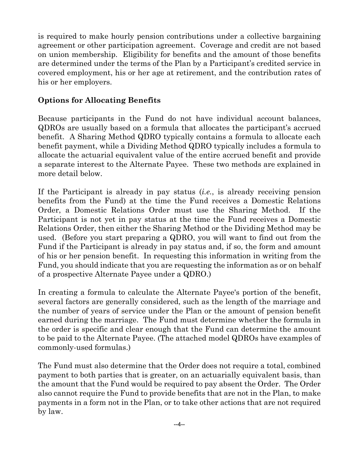is required to make hourly pension contributions under a collective bargaining agreement or other participation agreement. Coverage and credit are not based on union membership. Eligibility for benefits and the amount of those benefits are determined under the terms of the Plan by a Participant's credited service in covered employment, his or her age at retirement, and the contribution rates of his or her employers.

# **Options for Allocating Benefits**

Because participants in the Fund do not have individual account balances, QDROs are usually based on a formula that allocates the participant's accrued benefit. A Sharing Method QDRO typically contains a formula to allocate each benefit payment, while a Dividing Method QDRO typically includes a formula to allocate the actuarial equivalent value of the entire accrued benefit and provide a separate interest to the Alternate Payee. These two methods are explained in more detail below.

If the Participant is already in pay status (*i.e.*, is already receiving pension benefits from the Fund) at the time the Fund receives a Domestic Relations Order, a Domestic Relations Order must use the Sharing Method. If the Participant is not yet in pay status at the time the Fund receives a Domestic Relations Order, then either the Sharing Method or the Dividing Method may be used. (Before you start preparing a QDRO, you will want to find out from the Fund if the Participant is already in pay status and, if so, the form and amount of his or her pension benefit. In requesting this information in writing from the Fund, you should indicate that you are requesting the information as or on behalf of a prospective Alternate Payee under a QDRO.)

In creating a formula to calculate the Alternate Payee's portion of the benefit, several factors are generally considered, such as the length of the marriage and the number of years of service under the Plan or the amount of pension benefit earned during the marriage. The Fund must determine whether the formula in the order is specific and clear enough that the Fund can determine the amount to be paid to the Alternate Payee. (The attached model QDROs have examples of commonly-used formulas.)

The Fund must also determine that the Order does not require a total, combined payment to both parties that is greater, on an actuarially equivalent basis, than the amount that the Fund would be required to pay absent the Order. The Order also cannot require the Fund to provide benefits that are not in the Plan, to make payments in a form not in the Plan, or to take other actions that are not required by law.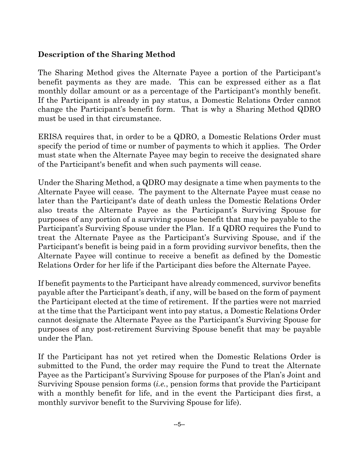# **Description of the Sharing Method**

The Sharing Method gives the Alternate Payee a portion of the Participant's benefit payments as they are made. This can be expressed either as a flat monthly dollar amount or as a percentage of the Participant's monthly benefit. If the Participant is already in pay status, a Domestic Relations Order cannot change the Participant's benefit form. That is why a Sharing Method QDRO must be used in that circumstance.

ERISA requires that, in order to be a QDRO, a Domestic Relations Order must specify the period of time or number of payments to which it applies. The Order must state when the Alternate Payee may begin to receive the designated share of the Participant's benefit and when such payments will cease.

Under the Sharing Method, a QDRO may designate a time when payments to the Alternate Payee will cease. The payment to the Alternate Payee must cease no later than the Participant's date of death unless the Domestic Relations Order also treats the Alternate Payee as the Participant's Surviving Spouse for purposes of any portion of a surviving spouse benefit that may be payable to the Participant's Surviving Spouse under the Plan. If a QDRO requires the Fund to treat the Alternate Payee as the Participant's Surviving Spouse, and if the Participant's benefit is being paid in a form providing survivor benefits, then the Alternate Payee will continue to receive a benefit as defined by the Domestic Relations Order for her life if the Participant dies before the Alternate Payee.

If benefit payments to the Participant have already commenced, survivor benefits payable after the Participant's death, if any, will be based on the form of payment the Participant elected at the time of retirement. If the parties were not married at the time that the Participant went into pay status, a Domestic Relations Order cannot designate the Alternate Payee as the Participant's Surviving Spouse for purposes of any post-retirement Surviving Spouse benefit that may be payable under the Plan.

If the Participant has not yet retired when the Domestic Relations Order is submitted to the Fund, the order may require the Fund to treat the Alternate Payee as the Participant's Surviving Spouse for purposes of the Plan's Joint and Surviving Spouse pension forms (*i.e.*, pension forms that provide the Participant with a monthly benefit for life, and in the event the Participant dies first, a monthly survivor benefit to the Surviving Spouse for life).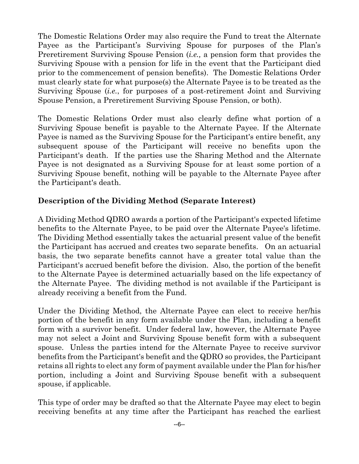The Domestic Relations Order may also require the Fund to treat the Alternate Payee as the Participant's Surviving Spouse for purposes of the Plan's Preretirement Surviving Spouse Pension (*i.e.,* a pension form that provides the Surviving Spouse with a pension for life in the event that the Participant died prior to the commencement of pension benefits). The Domestic Relations Order must clearly state for what purpose(s) the Alternate Payee is to be treated as the Surviving Spouse (*i.e.*, for purposes of a post-retirement Joint and Surviving Spouse Pension, a Preretirement Surviving Spouse Pension, or both).

The Domestic Relations Order must also clearly define what portion of a Surviving Spouse benefit is payable to the Alternate Payee. If the Alternate Payee is named as the Surviving Spouse for the Participant's entire benefit, any subsequent spouse of the Participant will receive no benefits upon the Participant's death. If the parties use the Sharing Method and the Alternate Payee is not designated as a Surviving Spouse for at least some portion of a Surviving Spouse benefit, nothing will be payable to the Alternate Payee after the Participant's death.

# **Description of the Dividing Method (Separate Interest)**

A Dividing Method QDRO awards a portion of the Participant's expected lifetime benefits to the Alternate Payee, to be paid over the Alternate Payee's lifetime. The Dividing Method essentially takes the actuarial present value of the benefit the Participant has accrued and creates two separate benefits. On an actuarial basis, the two separate benefits cannot have a greater total value than the Participant's accrued benefit before the division. Also, the portion of the benefit to the Alternate Payee is determined actuarially based on the life expectancy of the Alternate Payee. The dividing method is not available if the Participant is already receiving a benefit from the Fund.

Under the Dividing Method, the Alternate Payee can elect to receive her/his portion of the benefit in any form available under the Plan, including a benefit form with a survivor benefit. Under federal law, however, the Alternate Payee may not select a Joint and Surviving Spouse benefit form with a subsequent spouse. Unless the parties intend for the Alternate Payee to receive survivor benefits from the Participant's benefit and the QDRO so provides, the Participant retains all rights to elect any form of payment available under the Plan for his/her portion, including a Joint and Surviving Spouse benefit with a subsequent spouse, if applicable.

This type of order may be drafted so that the Alternate Payee may elect to begin receiving benefits at any time after the Participant has reached the earliest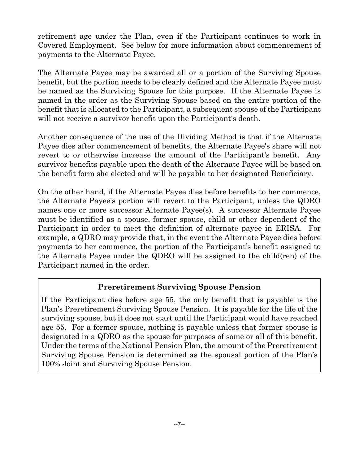retirement age under the Plan, even if the Participant continues to work in Covered Employment. See below for more information about commencement of payments to the Alternate Payee.

The Alternate Payee may be awarded all or a portion of the Surviving Spouse benefit, but the portion needs to be clearly defined and the Alternate Payee must be named as the Surviving Spouse for this purpose. If the Alternate Payee is named in the order as the Surviving Spouse based on the entire portion of the benefit that is allocated to the Participant, a subsequent spouse of the Participant will not receive a survivor benefit upon the Participant's death.

Another consequence of the use of the Dividing Method is that if the Alternate Payee dies after commencement of benefits, the Alternate Payee's share will not revert to or otherwise increase the amount of the Participant's benefit. Any survivor benefits payable upon the death of the Alternate Payee will be based on the benefit form she elected and will be payable to her designated Beneficiary.

On the other hand, if the Alternate Payee dies before benefits to her commence, the Alternate Payee's portion will revert to the Participant, unless the QDRO names one or more successor Alternate Payee(s). A successor Alternate Payee must be identified as a spouse, former spouse, child or other dependent of the Participant in order to meet the definition of alternate payee in ERISA. For example, a QDRO may provide that, in the event the Alternate Payee dies before payments to her commence, the portion of the Participant's benefit assigned to the Alternate Payee under the QDRO will be assigned to the child(ren) of the Participant named in the order.

# **Preretirement Surviving Spouse Pension**

If the Participant dies before age 55, the only benefit that is payable is the Plan's Preretirement Surviving Spouse Pension. It is payable for the life of the surviving spouse, but it does not start until the Participant would have reached age 55. For a former spouse, nothing is payable unless that former spouse is designated in a QDRO as the spouse for purposes of some or all of this benefit. Under the terms of the National Pension Plan, the amount of the Preretirement Surviving Spouse Pension is determined as the spousal portion of the Plan's 100% Joint and Surviving Spouse Pension.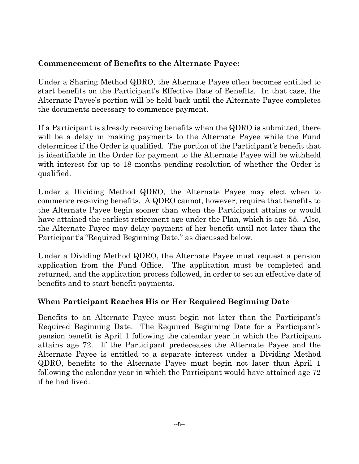# **Commencement of Benefits to the Alternate Payee:**

Under a Sharing Method QDRO, the Alternate Payee often becomes entitled to start benefits on the Participant's Effective Date of Benefits. In that case, the Alternate Payee's portion will be held back until the Alternate Payee completes the documents necessary to commence payment.

If a Participant is already receiving benefits when the QDRO is submitted, there will be a delay in making payments to the Alternate Payee while the Fund determines if the Order is qualified. The portion of the Participant's benefit that is identifiable in the Order for payment to the Alternate Payee will be withheld with interest for up to 18 months pending resolution of whether the Order is qualified.

Under a Dividing Method QDRO, the Alternate Payee may elect when to commence receiving benefits. A QDRO cannot, however, require that benefits to the Alternate Payee begin sooner than when the Participant attains or would have attained the earliest retirement age under the Plan, which is age 55. Also, the Alternate Payee may delay payment of her benefit until not later than the Participant's "Required Beginning Date," as discussed below.

Under a Dividing Method QDRO, the Alternate Payee must request a pension application from the Fund Office. The application must be completed and returned, and the application process followed, in order to set an effective date of benefits and to start benefit payments.

# **When Participant Reaches His or Her Required Beginning Date**

Benefits to an Alternate Payee must begin not later than the Participant's Required Beginning Date. The Required Beginning Date for a Participant's pension benefit is April 1 following the calendar year in which the Participant attains age 72. If the Participant predeceases the Alternate Payee and the Alternate Payee is entitled to a separate interest under a Dividing Method QDRO, benefits to the Alternate Payee must begin not later than April 1 following the calendar year in which the Participant would have attained age 72 if he had lived.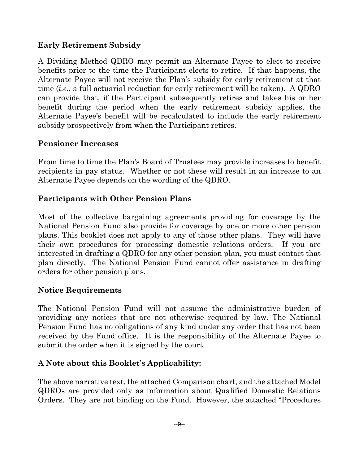# **Early Retirement Subsidy**

A Dividing Method QDRO may permit an Alternate Payee to elect to receive benefits prior to the time the Participant elects to retire. If that happens, the Alternate Payee will not receive the Plan's subsidy for early retirement at that time (*i.e.*, a full actuarial reduction for early retirement will be taken). A QDRO can provide that, if the Participant subsequently retires and takes his or her benefit during the period when the early retirement subsidy applies, the Alternate Payee's benefit will be recalculated to include the early retirement subsidy prospectively from when the Participant retires.

## **Pensioner Increases**

From time to time the Plan's Board of Trustees may provide increases to benefit recipients in pay status. Whether or not these will result in an increase to an Alternate Payee depends on the wording of the QDRO.

## **Participants with Other Pension Plans**

Most of the collective bargaining agreements providing for coverage by the National Pension Fund also provide for coverage by one or more other pension plans. This booklet does not apply to any of those other plans. They will have their own procedures for processing domestic relations orders. If you are interested in drafting a QDRO for any other pension plan, you must contact that plan directly. The National Pension Fund cannot offer assistance in drafting orders for other pension plans.

## **Notice Requirements**

The National Pension Fund will not assume the administrative burden of providing any notices that are not otherwise required by law. The National Pension Fund has no obligations of any kind under any order that has not been received by the Fund office. It is the responsibility of the Alternate Payee to submit the order when it is signed by the court.

## **A Note about this Booklet's Applicability:**

The above narrative text, the attached Comparison chart, and the attached Model QDROs are provided only as information about Qualified Domestic Relations Orders. They are not binding on the Fund. However, the attached "Procedures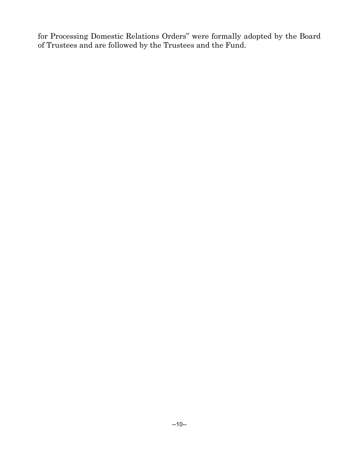for Processing Domestic Relations Orders" were formally adopted by the Board of Trustees and are followed by the Trustees and the Fund.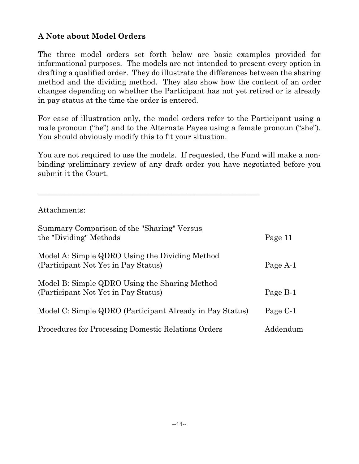# **A Note about Model Orders**

The three model orders set forth below are basic examples provided for informational purposes. The models are not intended to present every option in drafting a qualified order. They do illustrate the differences between the sharing method and the dividing method. They also show how the content of an order changes depending on whether the Participant has not yet retired or is already in pay status at the time the order is entered.

For ease of illustration only, the model orders refer to the Participant using a male pronoun ("he") and to the Alternate Payee using a female pronoun ("she"). You should obviously modify this to fit your situation.

You are not required to use the models. If requested, the Fund will make a nonbinding preliminary review of any draft order you have negotiated before you submit it the Court.

\_\_\_\_\_\_\_\_\_\_\_\_\_\_\_\_\_\_\_\_\_\_\_\_\_\_\_\_\_\_\_\_\_\_\_\_\_\_\_\_\_\_\_\_\_\_\_\_\_\_\_\_\_\_\_\_\_\_

Attachments:

| Summary Comparison of the "Sharing" Versus<br>the "Dividing" Methods                  | Page 11  |
|---------------------------------------------------------------------------------------|----------|
| Model A: Simple QDRO Using the Dividing Method<br>(Participant Not Yet in Pay Status) | Page A-1 |
| Model B: Simple QDRO Using the Sharing Method<br>(Participant Not Yet in Pay Status)  | Page B-1 |
| Model C: Simple QDRO (Participant Already in Pay Status)                              | Page C-1 |
| Procedures for Processing Domestic Relations Orders                                   | Addendum |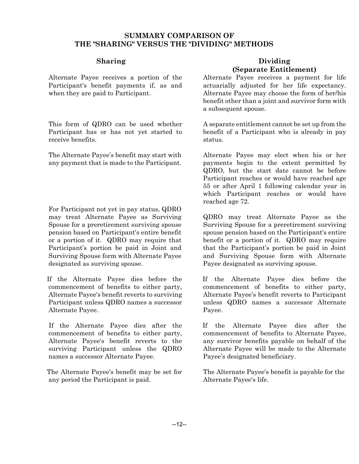#### **SUMMARY COMPARISON OF THE "SHARING" VERSUS THE "DIVIDING" METHODS**

Alternate Payee receives a portion of the Participant's benefit payments if, as and when they are paid to Participant.

This form of QDRO can be used whether Participant has or has not yet started to receive benefits.

The Alternate Payee's benefit may start with any payment that is made to the Participant.

For Participant not yet in pay status, QDRO may treat Alternate Payee as Surviving Spouse for a preretirement surviving spouse pension based on Participant's entire benefit or a portion of it. QDRO may require that Participant's portion be paid in Joint and Surviving Spouse form with Alternate Payee designated as surviving spouse.

 If the Alternate Payee dies before the commencement of benefits to either party, Alternate Payee's benefit reverts to surviving Participant unless QDRO names a successor Alternate Payee.

 If the Alternate Payee dies after the commencement of benefits to either party, Alternate Payee's benefit reverts to the surviving Participant unless the QDRO names a successor Alternate Payee.

 The Alternate Payee's benefit may be set for any period the Participant is paid.

#### **Sharing Dividing Property (Separate Entitlement)**

Alternate Payee receives a payment for life actuarially adjusted for her life expectancy. Alternate Payee may choose the form of her/his benefit other than a joint and survivor form with a subsequent spouse.

A separate entitlement cannot be set up from the benefit of a Participant who is already in pay status.

Alternate Payee may elect when his or her payments begin to the extent permitted by QDRO, but the start date cannot be before Participant reaches or would have reached age 55 or after April 1 following calendar year in which Participant reaches or would have reached age 72.

QDRO may treat Alternate Payee as the Surviving Spouse for a preretirement surviving spouse pension based on the Participant's entire benefit or a portion of it. QDRO may require that the Participant's portion be paid in Joint and Surviving Spouse form with Alternate Payee designated as surviving spouse.

If the Alternate Payee dies before the commencement of benefits to either party, Alternate Payee's benefit reverts to Participant unless QDRO names a successor Alternate Payee.

If the Alternate Payee dies after the commencement of benefits to Alternate Payee, any survivor benefits payable on behalf of the Alternate Payee will be made to the Alternate Payee's designated beneficiary.

The Alternate Payee's benefit is payable for the Alternate Payee's life.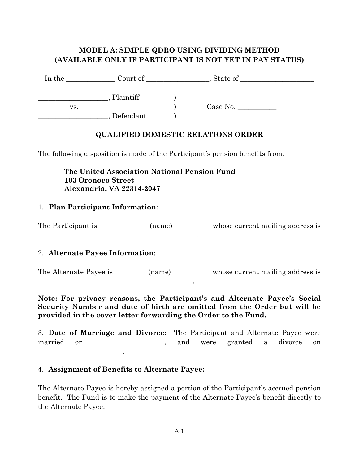## **MODEL A: SIMPLE QDRO USING DIVIDING METHOD (AVAILABLE ONLY IF PARTICIPANT IS NOT YET IN PAY STATUS)**

| In the | Court of  | State of                          |  |
|--------|-----------|-----------------------------------|--|
|        | Plaintiff |                                   |  |
| VS.    |           | Case No. $\overline{\phantom{a}}$ |  |
|        | Defendant |                                   |  |

## **QUALIFIED DOMESTIC RELATIONS ORDER**

The following disposition is made of the Participant's pension benefits from:

 **The United Association National Pension Fund 103 Oronoco Street Alexandria, VA 22314-2047** 

#### 1. **Plan Participant Information**:

The Participant is \_\_\_\_\_\_\_\_\_\_\_\_\_(name) whose current mailing address is

#### 2. **Alternate Payee Information**:

\_\_\_\_\_\_\_\_\_\_\_\_\_\_\_\_\_\_\_\_\_\_\_\_\_\_\_\_\_\_\_\_\_\_\_\_\_\_\_\_\_\_\_\_\_.

\_\_\_\_\_\_\_\_\_\_\_\_\_\_\_\_\_\_\_\_\_\_\_\_\_\_\_\_\_\_\_\_\_\_\_\_\_\_\_\_\_\_\_\_.

The Alternate Payee is \_\_\_\_\_\_\_\_ (name) whose current mailing address is

**Note: For privacy reasons, the Participant's and Alternate Payee's Social Security Number and date of birth are omitted from the Order but will be provided in the cover letter forwarding the Order to the Fund.** 

|            |  | 3. Date of Marriage and Divorce: The Participant and Alternate Payee were |  |                               |  |  |
|------------|--|---------------------------------------------------------------------------|--|-------------------------------|--|--|
| married on |  |                                                                           |  | and were granted a divorce on |  |  |
|            |  |                                                                           |  |                               |  |  |

#### 4. **Assignment of Benefits to Alternate Payee:**

The Alternate Payee is hereby assigned a portion of the Participant's accrued pension benefit. The Fund is to make the payment of the Alternate Payee's benefit directly to the Alternate Payee.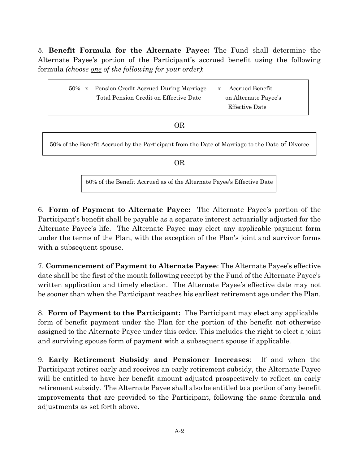5. **Benefit Formula for the Alternate Payee:** The Fund shall determine the Alternate Payee's portion of the Participant's accrued benefit using the following formula *(choose one of the following for your order)*:

| Pension Credit Accrued During Marriage<br>$50\% \times$<br>Total Pension Credit on Effective Date | Accrued Benefit<br>$\mathbf{x}$<br>on Alternate Payee's<br>Effective Date |
|---------------------------------------------------------------------------------------------------|---------------------------------------------------------------------------|
| OR                                                                                                |                                                                           |
| 50% of the Benefit Accrued by the Participant from the Date of Marriage to the Date of Divorce    |                                                                           |
| OR.                                                                                               |                                                                           |

50% of the Benefit Accrued as of the Alternate Payee's Effective Date

6. **Form of Payment to Alternate Payee:** The Alternate Payee's portion of the Participant's benefit shall be payable as a separate interest actuarially adjusted for the Alternate Payee's life. The Alternate Payee may elect any applicable payment form under the terms of the Plan, with the exception of the Plan's joint and survivor forms with a subsequent spouse.

7. **Commencement of Payment to Alternate Payee**: The Alternate Payee's effective date shall be the first of the month following receipt by the Fund of the Alternate Payee's written application and timely election. The Alternate Payee's effective date may not be sooner than when the Participant reaches his earliest retirement age under the Plan.

8. **Form of Payment to the Participant:** The Participant may elect any applicable form of benefit payment under the Plan for the portion of the benefit not otherwise assigned to the Alternate Payee under this order. This includes the right to elect a joint and surviving spouse form of payment with a subsequent spouse if applicable.

9. **Early Retirement Subsidy and Pensioner Increases**:If and when the Participant retires early and receives an early retirement subsidy, the Alternate Payee will be entitled to have her benefit amount adjusted prospectively to reflect an early retirement subsidy. The Alternate Payee shall also be entitled to a portion of any benefit improvements that are provided to the Participant, following the same formula and adjustments as set forth above.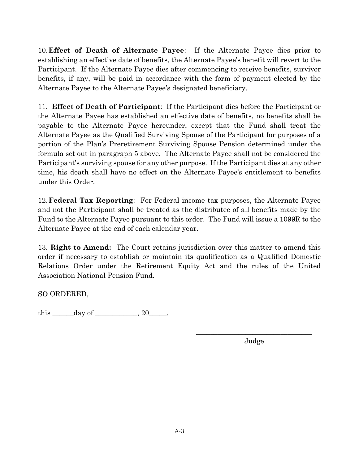10. **Effect of Death of Alternate Payee**: If the Alternate Payee dies prior to establishing an effective date of benefits, the Alternate Payee's benefit will revert to the Participant. If the Alternate Payee dies after commencing to receive benefits, survivor benefits, if any, will be paid in accordance with the form of payment elected by the Alternate Payee to the Alternate Payee's designated beneficiary.

11. **Effect of Death of Participant**: If the Participant dies before the Participant or the Alternate Payee has established an effective date of benefits, no benefits shall be payable to the Alternate Payee hereunder, except that the Fund shall treat the Alternate Payee as the Qualified Surviving Spouse of the Participant for purposes of a portion of the Plan's Preretirement Surviving Spouse Pension determined under the formula set out in paragraph 5 above. The Alternate Payee shall not be considered the Participant's surviving spouse for any other purpose. If the Participant dies at any other time, his death shall have no effect on the Alternate Payee's entitlement to benefits under this Order.

12. **Federal Tax Reporting**: For Federal income tax purposes, the Alternate Payee and not the Participant shall be treated as the distributee of all benefits made by the Fund to the Alternate Payee pursuant to this order. The Fund will issue a 1099R to the Alternate Payee at the end of each calendar year.

13. **Right to Amend:** The Court retains jurisdiction over this matter to amend this order if necessary to establish or maintain its qualification as a Qualified Domestic Relations Order under the Retirement Equity Act and the rules of the United Association National Pension Fund.

 $\mathcal{L}_\text{max}$  and  $\mathcal{L}_\text{max}$  and  $\mathcal{L}_\text{max}$  and  $\mathcal{L}_\text{max}$  and  $\mathcal{L}_\text{max}$  and  $\mathcal{L}_\text{max}$ 

SO ORDERED,

this \_\_\_\_\_\_day of \_\_\_\_\_\_\_\_\_\_\_\_, 20\_\_\_\_\_.

Judge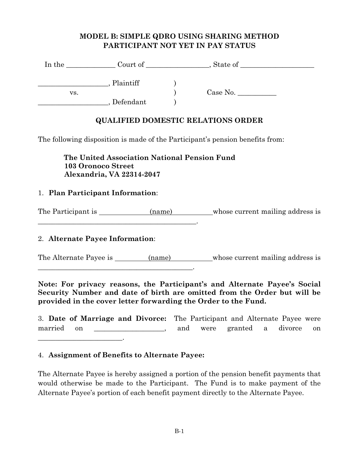## **MODEL B: SIMPLE QDRO USING SHARING METHOD PARTICIPANT NOT YET IN PAY STATUS**

| In the | Court of $\_\_$ | State of                          |  |
|--------|-----------------|-----------------------------------|--|
|        | Plaintiff       |                                   |  |
| VS.    |                 | Case No. $\overline{\phantom{a}}$ |  |
|        | Defendant       |                                   |  |

#### **QUALIFIED DOMESTIC RELATIONS ORDER**

The following disposition is made of the Participant's pension benefits from:

 **The United Association National Pension Fund 103 Oronoco Street Alexandria, VA 22314-2047** 

#### 1. **Plan Participant Information**:

The Participant is (name) whose current mailing address is

#### 2. **Alternate Payee Information**:

\_\_\_\_\_\_\_\_\_\_\_\_\_\_\_\_\_\_\_\_\_\_\_\_\_\_\_\_\_\_\_\_\_\_\_\_\_\_\_\_\_\_\_\_\_.

\_\_\_\_\_\_\_\_\_\_\_\_\_\_\_\_\_\_\_\_\_\_\_\_\_\_\_\_\_\_\_\_\_\_\_\_\_\_\_\_\_\_\_\_.

The Alternate Payee is \_\_\_\_\_\_\_\_ (name) whose current mailing address is

**Note: For privacy reasons, the Participant's and Alternate Payee's Social Security Number and date of birth are omitted from the Order but will be provided in the cover letter forwarding the Order to the Fund.** 

3. **Date of Marriage and Divorce:** The Participant and Alternate Payee were married on the same contains the married on the same contains a divorce on the same contains a divorce on the s \_\_\_\_\_\_\_\_\_\_\_\_\_\_\_\_\_\_\_\_\_\_\_\_.

#### 4. **Assignment of Benefits to Alternate Payee:**

The Alternate Payee is hereby assigned a portion of the pension benefit payments that would otherwise be made to the Participant. The Fund is to make payment of the Alternate Payee's portion of each benefit payment directly to the Alternate Payee.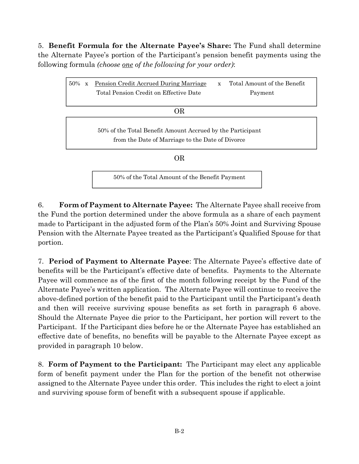5. **Benefit Formula for the Alternate Payee's Share:** The Fund shall determine the Alternate Payee's portion of the Participant's pension benefit payments using the following formula *(choose one of the following for your order)*:

| 50%<br>$\mathbf{x}$ | Pension Credit Accrued During Marriage                                                                         | $\mathbf{x}$ | Total Amount of the Benefit |
|---------------------|----------------------------------------------------------------------------------------------------------------|--------------|-----------------------------|
|                     | Total Pension Credit on Effective Date                                                                         |              | Payment                     |
|                     |                                                                                                                |              |                             |
|                     | <b>OR</b>                                                                                                      |              |                             |
|                     | 50% of the Total Benefit Amount Accrued by the Participant<br>from the Date of Marriage to the Date of Divorce |              |                             |
|                     | OR                                                                                                             |              |                             |
|                     |                                                                                                                |              |                             |
|                     | 50% of the Total Amount of the Benefit Payment                                                                 |              |                             |

6. **Form of Payment to Alternate Payee:** The Alternate Payee shall receive from the Fund the portion determined under the above formula as a share of each payment made to Participant in the adjusted form of the Plan's 50% Joint and Surviving Spouse Pension with the Alternate Payee treated as the Participant's Qualified Spouse for that portion.

7. **Period of Payment to Alternate Payee**: The Alternate Payee's effective date of benefits will be the Participant's effective date of benefits. Payments to the Alternate Payee will commence as of the first of the month following receipt by the Fund of the Alternate Payee's written application. The Alternate Payee will continue to receive the above-defined portion of the benefit paid to the Participant until the Participant's death and then will receive surviving spouse benefits as set forth in paragraph 6 above. Should the Alternate Payee die prior to the Participant, her portion will revert to the Participant. If the Participant dies before he or the Alternate Payee has established an effective date of benefits, no benefits will be payable to the Alternate Payee except as provided in paragraph 10 below.

8. **Form of Payment to the Participant:** The Participant may elect any applicable form of benefit payment under the Plan for the portion of the benefit not otherwise assigned to the Alternate Payee under this order. This includes the right to elect a joint and surviving spouse form of benefit with a subsequent spouse if applicable.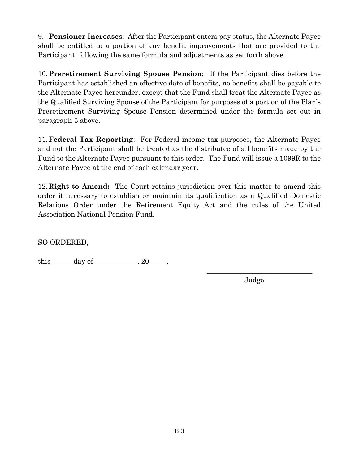9. **Pensioner Increases**:After the Participant enters pay status, the Alternate Payee shall be entitled to a portion of any benefit improvements that are provided to the Participant, following the same formula and adjustments as set forth above.

10. **Preretirement Surviving Spouse Pension**: If the Participant dies before the Participant has established an effective date of benefits, no benefits shall be payable to the Alternate Payee hereunder, except that the Fund shall treat the Alternate Payee as the Qualified Surviving Spouse of the Participant for purposes of a portion of the Plan's Preretirement Surviving Spouse Pension determined under the formula set out in paragraph 5 above.

11. **Federal Tax Reporting**: For Federal income tax purposes, the Alternate Payee and not the Participant shall be treated as the distributee of all benefits made by the Fund to the Alternate Payee pursuant to this order. The Fund will issue a 1099R to the Alternate Payee at the end of each calendar year.

12. **Right to Amend:** The Court retains jurisdiction over this matter to amend this order if necessary to establish or maintain its qualification as a Qualified Domestic Relations Order under the Retirement Equity Act and the rules of the United Association National Pension Fund.

 $\mathcal{L}_\text{max}$  and  $\mathcal{L}_\text{max}$  and  $\mathcal{L}_\text{max}$  and  $\mathcal{L}_\text{max}$  and  $\mathcal{L}_\text{max}$  and  $\mathcal{L}_\text{max}$ 

SO ORDERED,

this  $\_\_\_\_\_\_\_\_\$  day of  $\_\_\_\_\_\_\$  , 20 $\_\_\_\_\$ 

Judge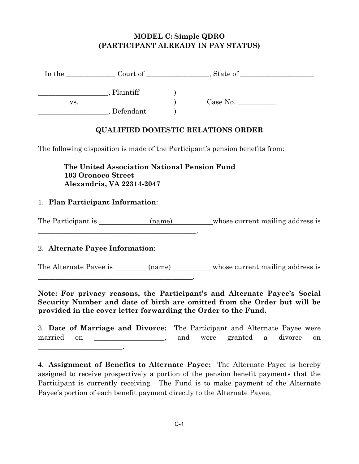## **MODEL C: Simple QDRO (PARTICIPANT ALREADY IN PAY STATUS)**

| In the | Court of  | State of |  |
|--------|-----------|----------|--|
|        | Plaintiff |          |  |
| VS.    |           | Case No. |  |
|        | Defendant |          |  |

## **QUALIFIED DOMESTIC RELATIONS ORDER**

The following disposition is made of the Participant's pension benefits from:

 **The United Association National Pension Fund 103 Oronoco Street Alexandria, VA 22314-2047** 

#### 1. **Plan Participant Information**:

The Participant is (name) whose current mailing address is

#### 2. **Alternate Payee Information**:

\_\_\_\_\_\_\_\_\_\_\_\_\_\_\_\_\_\_\_\_\_\_\_\_\_\_\_\_\_\_\_\_\_\_\_\_\_\_\_\_\_\_\_\_\_.

\_\_\_\_\_\_\_\_\_\_\_\_\_\_\_\_\_\_\_\_\_\_\_\_\_\_\_\_\_\_\_\_\_\_\_\_\_\_\_\_\_\_\_\_.

The Alternate Payee is (name) whose current mailing address is

**Note: For privacy reasons, the Participant's and Alternate Payee's Social Security Number and date of birth are omitted from the Order but will be provided in the cover letter forwarding the Order to the Fund.** 

3. **Date of Marriage and Divorce:** The Participant and Alternate Payee were married on \_\_\_\_\_\_\_\_\_\_\_\_\_\_\_\_\_, and were granted a divorce on \_\_\_\_\_\_\_\_\_\_\_\_\_\_\_\_\_\_\_\_\_\_\_\_.

<sup>4.</sup> **Assignment of Benefits to Alternate Payee:** The Alternate Payee is hereby assigned to receive prospectively a portion of the pension benefit payments that the Participant is currently receiving. The Fund is to make payment of the Alternate Payee's portion of each benefit payment directly to the Alternate Payee.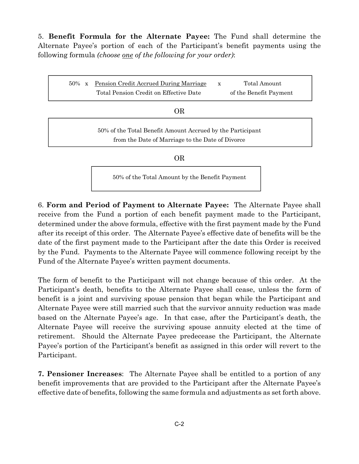5. **Benefit Formula for the Alternate Payee:** The Fund shall determine the Alternate Payee's portion of each of the Participant's benefit payments using the following formula *(choose one of the following for your order)*:

| $50\% \times$ | Pension Credit Accrued During Marriage<br>Total Pension Credit on Effective Date                               | $\mathbf x$ | Total Amount<br>of the Benefit Payment |  |  |  |
|---------------|----------------------------------------------------------------------------------------------------------------|-------------|----------------------------------------|--|--|--|
|               | ΟR                                                                                                             |             |                                        |  |  |  |
|               | 50% of the Total Benefit Amount Accrued by the Participant<br>from the Date of Marriage to the Date of Divorce |             |                                        |  |  |  |
|               |                                                                                                                |             |                                        |  |  |  |

50% of the Total Amount by the Benefit Payment

6. **Form and Period of Payment to Alternate Payee:** The Alternate Payee shall receive from the Fund a portion of each benefit payment made to the Participant, determined under the above formula, effective with the first payment made by the Fund after its receipt of this order. The Alternate Payee's effective date of benefits will be the date of the first payment made to the Participant after the date this Order is received by the Fund. Payments to the Alternate Payee will commence following receipt by the Fund of the Alternate Payee's written payment documents.

The form of benefit to the Participant will not change because of this order. At the Participant's death, benefits to the Alternate Payee shall cease, unless the form of benefit is a joint and surviving spouse pension that began while the Participant and Alternate Payee were still married such that the survivor annuity reduction was made based on the Alternate Payee's age. In that case, after the Participant's death, the Alternate Payee will receive the surviving spouse annuity elected at the time of retirement. Should the Alternate Payee predecease the Participant, the Alternate Payee's portion of the Participant's benefit as assigned in this order will revert to the Participant.

**7. Pensioner Increases**:The Alternate Payee shall be entitled to a portion of any benefit improvements that are provided to the Participant after the Alternate Payee's effective date of benefits, following the same formula and adjustments as set forth above.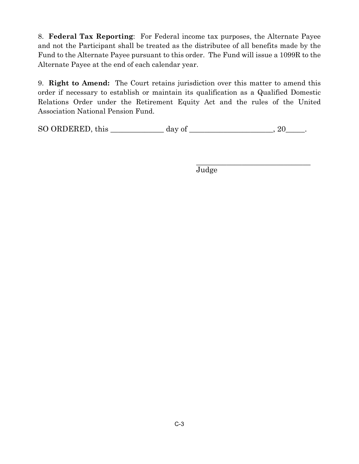8. **Federal Tax Reporting**: For Federal income tax purposes, the Alternate Payee and not the Participant shall be treated as the distributee of all benefits made by the Fund to the Alternate Payee pursuant to this order. The Fund will issue a 1099R to the Alternate Payee at the end of each calendar year.

9. **Right to Amend:** The Court retains jurisdiction over this matter to amend this order if necessary to establish or maintain its qualification as a Qualified Domestic Relations Order under the Retirement Equity Act and the rules of the United Association National Pension Fund.

|  | SO ORDERED, this |  | day of |  |
|--|------------------|--|--------|--|
|--|------------------|--|--------|--|

 $\mathcal{L}_\mathcal{L}$  , which is a set of the set of the set of the set of the set of the set of the set of the set of the set of the set of the set of the set of the set of the set of the set of the set of the set of the set of

Judge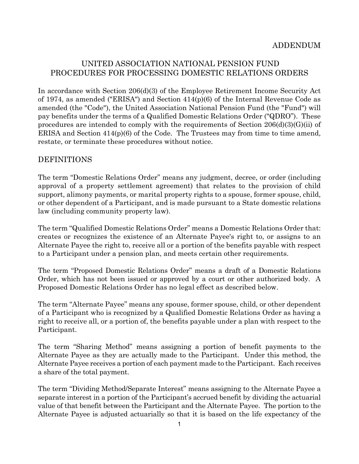## UNITED ASSOCIATION NATIONAL PENSION FUND PROCEDURES FOR PROCESSING DOMESTIC RELATIONS ORDERS

In accordance with Section 206(d)(3) of the Employee Retirement Income Security Act of 1974, as amended ("ERISA") and Section 414(p)(6) of the Internal Revenue Code as amended (the "Code"), the United Association National Pension Fund (the "Fund") will pay benefits under the terms of a Qualified Domestic Relations Order ("QDRO"). These procedures are intended to comply with the requirements of Section  $206(d)(3)(G)(ii)$  of ERISA and Section  $414(p)(6)$  of the Code. The Trustees may from time to time amend, restate, or terminate these procedures without notice.

#### DEFINITIONS

The term "Domestic Relations Order" means any judgment, decree, or order (including approval of a property settlement agreement) that relates to the provision of child support, alimony payments, or marital property rights to a spouse, former spouse, child, or other dependent of a Participant, and is made pursuant to a State domestic relations law (including community property law).

The term "Qualified Domestic Relations Order" means a Domestic Relations Order that: creates or recognizes the existence of an Alternate Payee's right to, or assigns to an Alternate Payee the right to, receive all or a portion of the benefits payable with respect to a Participant under a pension plan, and meets certain other requirements.

The term "Proposed Domestic Relations Order" means a draft of a Domestic Relations Order, which has not been issued or approved by a court or other authorized body. A Proposed Domestic Relations Order has no legal effect as described below.

The term "Alternate Payee" means any spouse, former spouse, child, or other dependent of a Participant who is recognized by a Qualified Domestic Relations Order as having a right to receive all, or a portion of, the benefits payable under a plan with respect to the Participant.

The term "Sharing Method" means assigning a portion of benefit payments to the Alternate Payee as they are actually made to the Participant. Under this method, the Alternate Payee receives a portion of each payment made to the Participant. Each receives a share of the total payment.

The term "Dividing Method/Separate Interest" means assigning to the Alternate Payee a separate interest in a portion of the Participant's accrued benefit by dividing the actuarial value of that benefit between the Participant and the Alternate Payee. The portion to the Alternate Payee is adjusted actuarially so that it is based on the life expectancy of the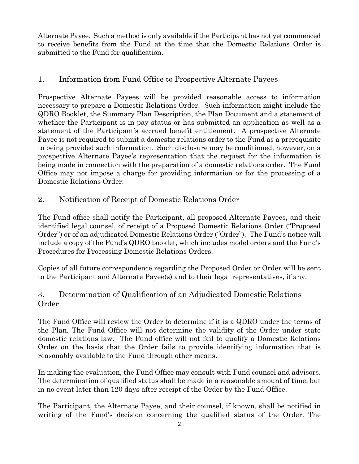Alternate Payee. Such a method is only available if the Participant has not yet commenced to receive benefits from the Fund at the time that the Domestic Relations Order is submitted to the Fund for qualification.

## 1. Information from Fund Office to Prospective Alternate Payees

Prospective Alternate Payees will be provided reasonable access to information necessary to prepare a Domestic Relations Order. Such information might include the QDRO Booklet, the Summary Plan Description, the Plan Document and a statement of whether the Participant is in pay status or has submitted an application as well as a statement of the Participant's accrued benefit entitlement. A prospective Alternate Payee is not required to submit a domestic relations order to the Fund as a prerequisite to being provided such information. Such disclosure may be conditioned, however, on a prospective Alternate Payee's representation that the request for the information is being made in connection with the preparation of a domestic relations order. The Fund Office may not impose a charge for providing information or for the processing of a Domestic Relations Order.

2. Notification of Receipt of Domestic Relations Order

The Fund office shall notify the Participant, all proposed Alternate Payees, and their identified legal counsel, of receipt of a Proposed Domestic Relations Order ("Proposed Order") or of an adjudicated Domestic Relations Order ("Order"). The Fund's notice will include a copy of the Fund's QDRO booklet, which includes model orders and the Fund's Procedures for Processing Domestic Relations Orders.

Copies of all future correspondence regarding the Proposed Order or Order will be sent to the Participant and Alternate Payee(s) and to their legal representatives, if any.

## 3. Determination of Qualification of an Adjudicated Domestic Relations Order

The Fund Office will review the Order to determine if it is a QDRO under the terms of the Plan. The Fund Office will not determine the validity of the Order under state domestic relations law. The Fund office will not fail to qualify a Domestic Relations Order on the basis that the Order fails to provide identifying information that is reasonably available to the Fund through other means.

In making the evaluation, the Fund Office may consult with Fund counsel and advisors. The determination of qualified status shall be made in a reasonable amount of time, but in no event later than 120 days after receipt of the Order by the Fund Office.

The Participant, the Alternate Payee, and their counsel, if known, shall be notified in writing of the Fund's decision concerning the qualified status of the Order. The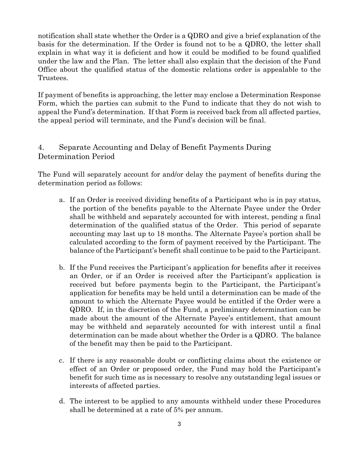notification shall state whether the Order is a QDRO and give a brief explanation of the basis for the determination. If the Order is found not to be a QDRO, the letter shall explain in what way it is deficient and how it could be modified to be found qualified under the law and the Plan. The letter shall also explain that the decision of the Fund Office about the qualified status of the domestic relations order is appealable to the Trustees.

If payment of benefits is approaching, the letter may enclose a Determination Response Form, which the parties can submit to the Fund to indicate that they do not wish to appeal the Fund's determination. If that Form is received back from all affected parties, the appeal period will terminate, and the Fund's decision will be final.

## 4. Separate Accounting and Delay of Benefit Payments During Determination Period

The Fund will separately account for and/or delay the payment of benefits during the determination period as follows:

- a. If an Order is received dividing benefits of a Participant who is in pay status, the portion of the benefits payable to the Alternate Payee under the Order shall be withheld and separately accounted for with interest, pending a final determination of the qualified status of the Order. This period of separate accounting may last up to 18 months. The Alternate Payee's portion shall be calculated according to the form of payment received by the Participant. The balance of the Participant's benefit shall continue to be paid to the Participant.
- b. If the Fund receives the Participant's application for benefits after it receives an Order, or if an Order is received after the Participant's application is received but before payments begin to the Participant, the Participant's application for benefits may be held until a determination can be made of the amount to which the Alternate Payee would be entitled if the Order were a QDRO. If, in the discretion of the Fund, a preliminary determination can be made about the amount of the Alternate Payee's entitlement, that amount may be withheld and separately accounted for with interest until a final determination can be made about whether the Order is a QDRO. The balance of the benefit may then be paid to the Participant.
- c. If there is any reasonable doubt or conflicting claims about the existence or effect of an Order or proposed order, the Fund may hold the Participant's benefit for such time as is necessary to resolve any outstanding legal issues or interests of affected parties.
- d. The interest to be applied to any amounts withheld under these Procedures shall be determined at a rate of 5% per annum.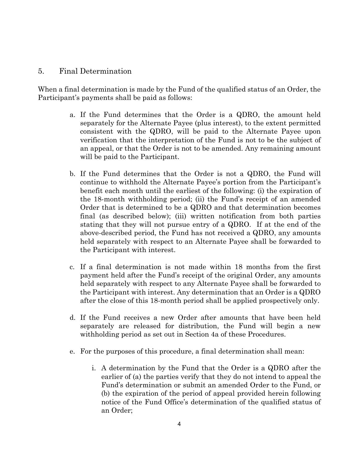#### 5. Final Determination

When a final determination is made by the Fund of the qualified status of an Order, the Participant's payments shall be paid as follows:

- a. If the Fund determines that the Order is a QDRO, the amount held separately for the Alternate Payee (plus interest), to the extent permitted consistent with the QDRO, will be paid to the Alternate Payee upon verification that the interpretation of the Fund is not to be the subject of an appeal, or that the Order is not to be amended. Any remaining amount will be paid to the Participant.
- b. If the Fund determines that the Order is not a QDRO, the Fund will continue to withhold the Alternate Payee's portion from the Participant's benefit each month until the earliest of the following: (i) the expiration of the 18-month withholding period; (ii) the Fund's receipt of an amended Order that is determined to be a QDRO and that determination becomes final (as described below); (iii) written notification from both parties stating that they will not pursue entry of a QDRO. If at the end of the above-described period, the Fund has not received a QDRO, any amounts held separately with respect to an Alternate Payee shall be forwarded to the Participant with interest.
- c. If a final determination is not made within 18 months from the first payment held after the Fund's receipt of the original Order, any amounts held separately with respect to any Alternate Payee shall be forwarded to the Participant with interest. Any determination that an Order is a QDRO after the close of this 18-month period shall be applied prospectively only.
- d. If the Fund receives a new Order after amounts that have been held separately are released for distribution, the Fund will begin a new withholding period as set out in Section 4a of these Procedures.
- e. For the purposes of this procedure, a final determination shall mean:
	- i. A determination by the Fund that the Order is a QDRO after the earlier of (a) the parties verify that they do not intend to appeal the Fund's determination or submit an amended Order to the Fund, or (b) the expiration of the period of appeal provided herein following notice of the Fund Office's determination of the qualified status of an Order;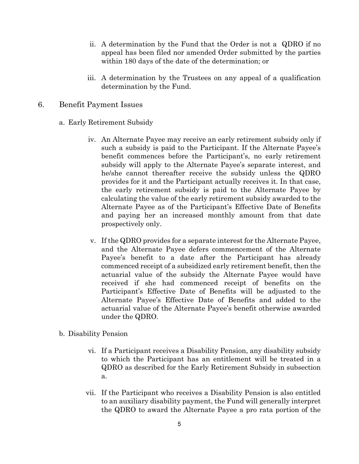- ii. A determination by the Fund that the Order is not a QDRO if no appeal has been filed nor amended Order submitted by the parties within 180 days of the date of the determination; or
- iii. A determination by the Trustees on any appeal of a qualification determination by the Fund.
- 6. Benefit Payment Issues
	- a. Early Retirement Subsidy
		- iv. An Alternate Payee may receive an early retirement subsidy only if such a subsidy is paid to the Participant. If the Alternate Payee's benefit commences before the Participant's, no early retirement subsidy will apply to the Alternate Payee's separate interest, and he/she cannot thereafter receive the subsidy unless the QDRO provides for it and the Participant actually receives it. In that case, the early retirement subsidy is paid to the Alternate Payee by calculating the value of the early retirement subsidy awarded to the Alternate Payee as of the Participant's Effective Date of Benefits and paying her an increased monthly amount from that date prospectively only.
		- v. If the QDRO provides for a separate interest for the Alternate Payee, and the Alternate Payee defers commencement of the Alternate Payee's benefit to a date after the Participant has already commenced receipt of a subsidized early retirement benefit, then the actuarial value of the subsidy the Alternate Payee would have received if she had commenced receipt of benefits on the Participant's Effective Date of Benefits will be adjusted to the Alternate Payee's Effective Date of Benefits and added to the actuarial value of the Alternate Payee's benefit otherwise awarded under the QDRO.
	- b. Disability Pension
		- vi. If a Participant receives a Disability Pension, any disability subsidy to which the Participant has an entitlement will be treated in a QDRO as described for the Early Retirement Subsidy in subsection a.
		- vii. If the Participant who receives a Disability Pension is also entitled to an auxiliary disability payment, the Fund will generally interpret the QDRO to award the Alternate Payee a pro rata portion of the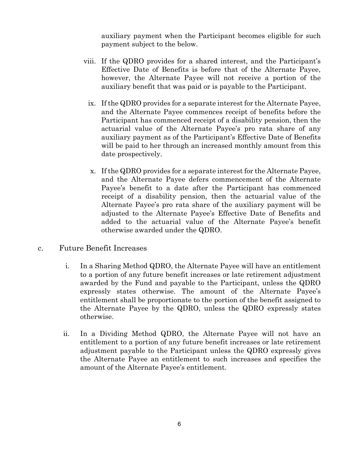auxiliary payment when the Participant becomes eligible for such payment subject to the below.

- viii. If the QDRO provides for a shared interest, and the Participant's Effective Date of Benefits is before that of the Alternate Payee, however, the Alternate Payee will not receive a portion of the auxiliary benefit that was paid or is payable to the Participant.
	- ix. If the QDRO provides for a separate interest for the Alternate Payee, and the Alternate Payee commences receipt of benefits before the Participant has commenced receipt of a disability pension, then the actuarial value of the Alternate Payee's pro rata share of any auxiliary payment as of the Participant's Effective Date of Benefits will be paid to her through an increased monthly amount from this date prospectively.
	- x. If the QDRO provides for a separate interest for the Alternate Payee, and the Alternate Payee defers commencement of the Alternate Payee's benefit to a date after the Participant has commenced receipt of a disability pension, then the actuarial value of the Alternate Payee's pro rata share of the auxiliary payment will be adjusted to the Alternate Payee's Effective Date of Benefits and added to the actuarial value of the Alternate Payee's benefit otherwise awarded under the QDRO.
- c. Future Benefit Increases
	- i. In a Sharing Method QDRO, the Alternate Payee will have an entitlement to a portion of any future benefit increases or late retirement adjustment awarded by the Fund and payable to the Participant, unless the QDRO expressly states otherwise. The amount of the Alternate Payee's entitlement shall be proportionate to the portion of the benefit assigned to the Alternate Payee by the QDRO, unless the QDRO expressly states otherwise.
	- ii. In a Dividing Method QDRO, the Alternate Payee will not have an entitlement to a portion of any future benefit increases or late retirement adjustment payable to the Participant unless the QDRO expressly gives the Alternate Payee an entitlement to such increases and specifies the amount of the Alternate Payee's entitlement.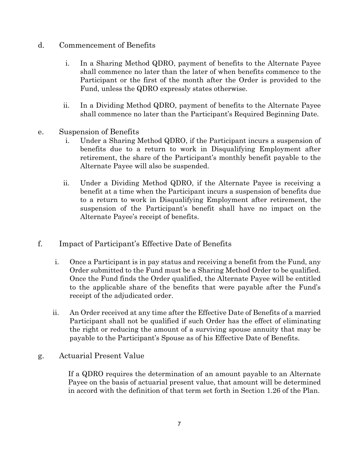## d. Commencement of Benefits

- i. In a Sharing Method QDRO, payment of benefits to the Alternate Payee shall commence no later than the later of when benefits commence to the Participant or the first of the month after the Order is provided to the Fund, unless the QDRO expressly states otherwise.
- ii. In a Dividing Method QDRO, payment of benefits to the Alternate Payee shall commence no later than the Participant's Required Beginning Date.
- e. Suspension of Benefits
	- i. Under a Sharing Method QDRO, if the Participant incurs a suspension of benefits due to a return to work in Disqualifying Employment after retirement, the share of the Participant's monthly benefit payable to the Alternate Payee will also be suspended.
	- ii. Under a Dividing Method QDRO, if the Alternate Payee is receiving a benefit at a time when the Participant incurs a suspension of benefits due to a return to work in Disqualifying Employment after retirement, the suspension of the Participant's benefit shall have no impact on the Alternate Payee's receipt of benefits.
- f. Impact of Participant's Effective Date of Benefits
	- i. Once a Participant is in pay status and receiving a benefit from the Fund, any Order submitted to the Fund must be a Sharing Method Order to be qualified. Once the Fund finds the Order qualified, the Alternate Payee will be entitled to the applicable share of the benefits that were payable after the Fund's receipt of the adjudicated order.
	- ii. An Order received at any time after the Effective Date of Benefits of a married Participant shall not be qualified if such Order has the effect of eliminating the right or reducing the amount of a surviving spouse annuity that may be payable to the Participant's Spouse as of his Effective Date of Benefits.
- g. Actuarial Present Value

If a QDRO requires the determination of an amount payable to an Alternate Payee on the basis of actuarial present value, that amount will be determined in accord with the definition of that term set forth in Section 1.26 of the Plan.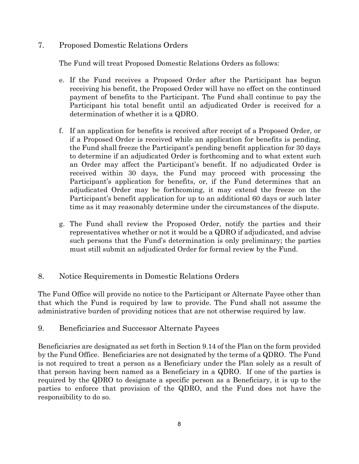## 7. Proposed Domestic Relations Orders

The Fund will treat Proposed Domestic Relations Orders as follows:

- e. If the Fund receives a Proposed Order after the Participant has begun receiving his benefit, the Proposed Order will have no effect on the continued payment of benefits to the Participant. The Fund shall continue to pay the Participant his total benefit until an adjudicated Order is received for a determination of whether it is a QDRO.
- f. If an application for benefits is received after receipt of a Proposed Order, or if a Proposed Order is received while an application for benefits is pending, the Fund shall freeze the Participant's pending benefit application for 30 days to determine if an adjudicated Order is forthcoming and to what extent such an Order may affect the Participant's benefit. If no adjudicated Order is received within 30 days, the Fund may proceed with processing the Participant's application for benefits, or, if the Fund determines that an adjudicated Order may be forthcoming, it may extend the freeze on the Participant's benefit application for up to an additional 60 days or such later time as it may reasonably determine under the circumstances of the dispute.
- g. The Fund shall review the Proposed Order, notify the parties and their representatives whether or not it would be a QDRO if adjudicated, and advise such persons that the Fund's determination is only preliminary; the parties must still submit an adjudicated Order for formal review by the Fund.

## 8. Notice Requirements in Domestic Relations Orders

The Fund Office will provide no notice to the Participant or Alternate Payee other than that which the Fund is required by law to provide. The Fund shall not assume the administrative burden of providing notices that are not otherwise required by law.

## 9. Beneficiaries and Successor Alternate Payees

Beneficiaries are designated as set forth in Section 9.14 of the Plan on the form provided by the Fund Office. Beneficiaries are not designated by the terms of a QDRO. The Fund is not required to treat a person as a Beneficiary under the Plan solely as a result of that person having been named as a Beneficiary in a QDRO. If one of the parties is required by the QDRO to designate a specific person as a Beneficiary, it is up to the parties to enforce that provision of the QDRO, and the Fund does not have the responsibility to do so.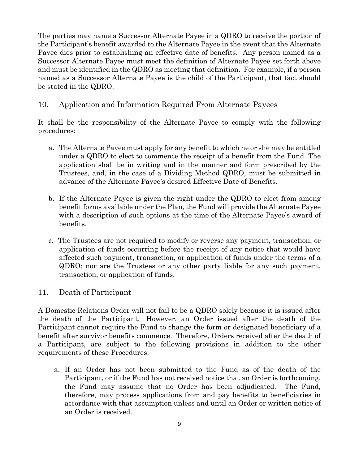The parties may name a Successor Alternate Payee in a QDRO to receive the portion of the Participant's benefit awarded to the Alternate Payee in the event that the Alternate Payee dies prior to establishing an effective date of benefits. Any person named as a Successor Alternate Payee must meet the definition of Alternate Payee set forth above and must be identified in the QDRO as meeting that definition. For example, if a person named as a Successor Alternate Payee is the child of the Participant, that fact should be stated in the QDRO.

# 10. Application and Information Required From Alternate Payees

It shall be the responsibility of the Alternate Payee to comply with the following procedures:

- a. The Alternate Payee must apply for any benefit to which he or she may be entitled under a QDRO to elect to commence the receipt of a benefit from the Fund. The application shall be in writing and in the manner and form prescribed by the Trustees, and, in the case of a Dividing Method QDRO, must be submitted in advance of the Alternate Payee's desired Effective Date of Benefits.
- b. If the Alternate Payee is given the right under the QDRO to elect from among benefit forms available under the Plan, the Fund will provide the Alternate Payee with a description of such options at the time of the Alternate Payee's award of benefits.
- c. The Trustees are not required to modify or reverse any payment, transaction, or application of funds occurring before the receipt of any notice that would have affected such payment, transaction, or application of funds under the terms of a QDRO; nor are the Trustees or any other party liable for any such payment, transaction, or application of funds.

## 11. Death of Participant

A Domestic Relations Order will not fail to be a QDRO solely because it is issued after the death of the Participant. However, an Order issued after the death of the Participant cannot require the Fund to change the form or designated beneficiary of a benefit after survivor benefits commence. Therefore, Orders received after the death of a Participant, are subject to the following provisions in addition to the other requirements of these Procedures:

a. If an Order has not been submitted to the Fund as of the death of the Participant, or if the Fund has not received notice that an Order is forthcoming, the Fund may assume that no Order has been adjudicated. The Fund, therefore, may process applications from and pay benefits to beneficiaries in accordance with that assumption unless and until an Order or written notice of an Order is received.